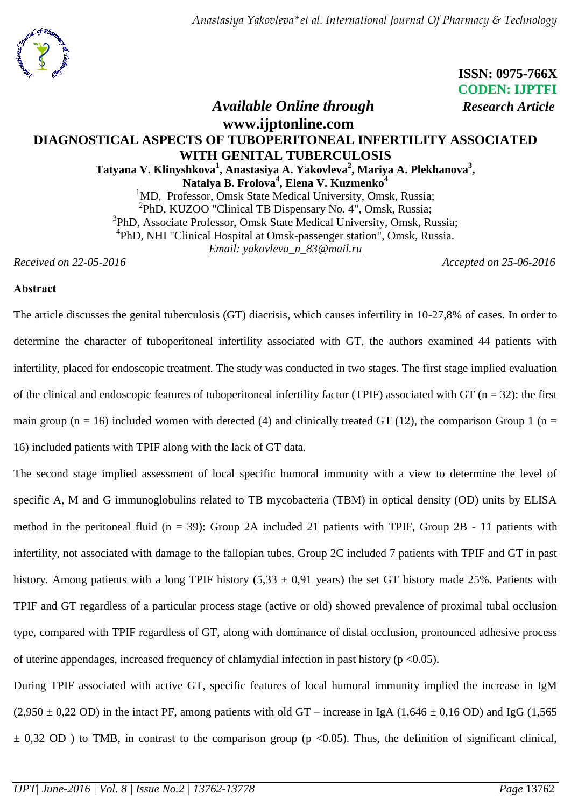

 **ISSN: 0975-766X CODEN: IJPTFI**

## *Available Online through Research Article* **www.ijptonline.com DIAGNOSTICAL ASPECTS OF TUBOPERITONEAL INFERTILITY ASSOCIATED WITH GENITAL TUBERCULOSIS Tatyana V. Klinyshkova<sup>1</sup> , Anastasiya A. Yakovleva<sup>2</sup> , Mariya A. Plekhanova<sup>3</sup> , Natalya B. Frolova<sup>4</sup> , Elena V. Kuzmenko<sup>4</sup>**  $1^1$ MD, Professor, Omsk State Medical University, Omsk, Russia; <sup>2</sup>PhD, KUZOO "Clinical TB Dispensary No. 4", Omsk, Russia; 3 PhD, Associate Professor, Omsk State Medical University, Omsk, Russia; 4 PhD, NHI "Clinical Hospital at Omsk-passenger station", Omsk, Russia. *Email: yakovleva\_n\_83@mail.ru*

*Received on 22-05-2016 Accepted on 25-06-2016*

### **Аbstract**

The article discusses the genital tuberculosis (GT) diacrisis, which causes infertility in 10-27,8% of cases. In order to determine the character of tuboperitoneal infertility associated with GT, the authors examined 44 patients with infertility, placed for endoscopic treatment. The study was conducted in two stages. The first stage implied evaluation of the clinical and endoscopic features of tuboperitoneal infertility factor (TPIF) associated with GT ( $n = 32$ ): the first main group ( $n = 16$ ) included women with detected (4) and clinically treated GT (12), the comparison Group 1 ( $n =$ 16) included patients with TPIF along with the lack of GT data.

The second stage implied assessment of local specific humoral immunity with a view to determine the level of specific A, M and G immunoglobulins related to TB mycobacteria (TBM) in optical density (OD) units by ELISA method in the peritoneal fluid (n = 39): Group 2A included 21 patients with TPIF, Group 2B - 11 patients with infertility, not associated with damage to the fallopian tubes, Group 2C included 7 patients with TPIF and GT in past history. Among patients with a long TPIF history  $(5,33 \pm 0.91)$  years) the set GT history made 25%. Patients with TPIF and GT regardless of a particular process stage (active or old) showed prevalence of proximal tubal occlusion type, compared with TPIF regardless of GT, along with dominance of distal occlusion, pronounced adhesive process of uterine appendages, increased frequency of chlamydial infection in past history ( $p \le 0.05$ ).

During TPIF associated with active GT, specific features of local humoral immunity implied the increase in IgM  $(2,950 \pm 0,22$  OD) in the intact PF, among patients with old GT – increase in IgA  $(1,646 \pm 0,16$  OD) and IgG  $(1,565$  $\pm$  0,32 OD ) to TMB, in contrast to the comparison group (p <0.05). Thus, the definition of significant clinical,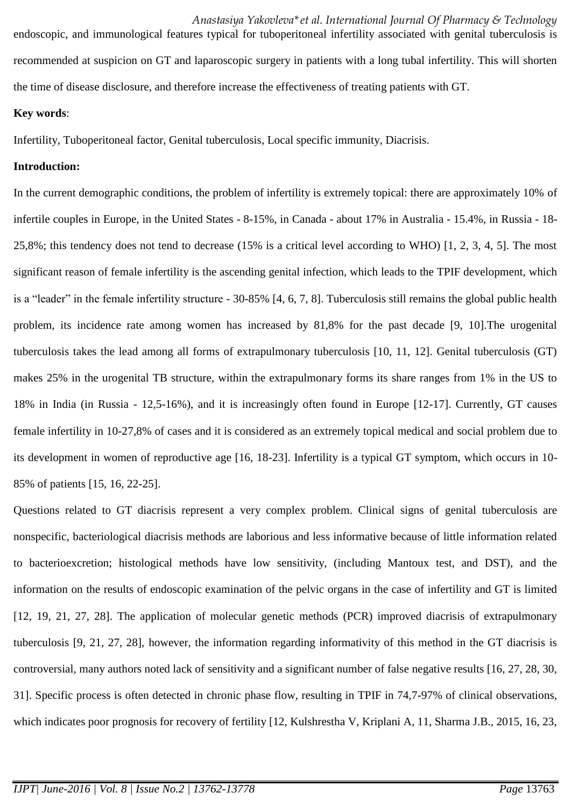*Anastasiya Yakovleva\*et al. International Journal Of Pharmacy & Technology*  endoscopic, and immunological features typical for tuboperitoneal infertility associated with genital tuberculosis is recommended at suspicion on GT and laparoscopic surgery in patients with a long tubal infertility. This will shorten the time of disease disclosure, and therefore increase the effectiveness of treating patients with GT.

### **Key words**:

Infertility, Tuboperitoneal factor, Genital tuberculosis, Local specific immunity, Diacrisis.

### **Introduction:**

In the current demographic conditions, the problem of infertility is extremely topical: there are approximately 10% of infertile couples in Europe, in the United States - 8-15%, in Canada - about 17% in Australia - 15.4%, in Russia - 18- 25,8%; this tendency does not tend to decrease (15% is a critical level according to WHO) [1, 2, 3, 4, 5]. The most significant reason of female infertility is the ascending genital infection, which leads to the TPIF development, which is a "leader" in the female infertility structure - 30-85% [4, 6, 7, 8]. Tuberculosis still remains the global public health problem, its incidence rate among women has increased by 81,8% for the past decade [9, 10].The urogenital tuberculosis takes the lead among all forms of extrapulmonary tuberculosis [10, 11, 12]. Genital tuberculosis (GT) makes 25% in the urogenital TB structure, within the extrapulmonary forms its share ranges from 1% in the US to 18% in India (in Russia - 12,5-16%), and it is increasingly often found in Europe [12-17]. Currently, GT causes female infertility in 10-27,8% of cases and it is considered as an extremely topical medical and social problem due to its development in women of reproductive age [16, 18-23]. Infertility is a typical GT symptom, which occurs in 10- 85% of patients [15, 16, 22-25].

Questions related to GT diacrisis represent a very complex problem. Clinical signs of genital tuberculosis are nonspecific, bacteriological diacrisis methods are laborious and less informative because of little information related to bacterioexcretion; histological methods have low sensitivity, (including Mantoux test, and DST), and the information on the results of endoscopic examination of the pelvic organs in the case of infertility and GT is limited [12, 19, 21, 27, 28]. The application of molecular genetic methods (PCR) improved diacrisis of extrapulmonary tuberculosis [9, 21, 27, 28], however, the information regarding informativity of this method in the GT diacrisis is controversial, many authors noted lack of sensitivity and a significant number of false negative results [16, 27, 28, 30, 31]. Specific process is often detected in chronic phase flow, resulting in TPIF in 74,7-97% of clinical observations, which indicates poor prognosis for recovery of fertility [12, Kulshrestha V, Kriplani A, 11, Sharma J.B., 2015, 16, 23,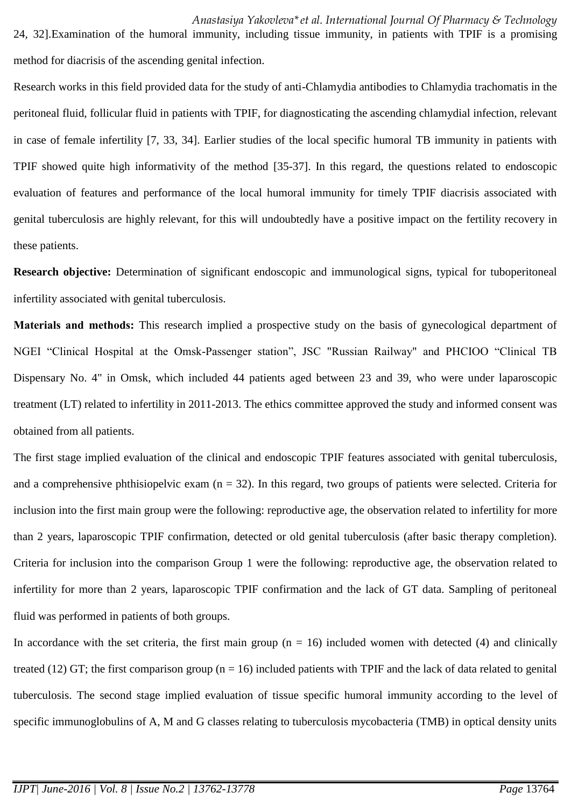24, 32].Examination of the humoral immunity, including tissue immunity, in patients with TPIF is a promising method for diacrisis of the ascending genital infection.

Research works in this field provided data for the study of anti-Chlamydia antibodies to Chlamydia trachomatis in the peritoneal fluid, follicular fluid in patients with TPIF, for diagnosticating the ascending chlamydial infection, relevant in case of female infertility [7, 33, 34]. Earlier studies of the local specific humoral TB immunity in patients with TPIF showed quite high informativity of the method [35-37]. In this regard, the questions related to endoscopic evaluation of features and performance of the local humoral immunity for timely TPIF diacrisis associated with genital tuberculosis are highly relevant, for this will undoubtedly have a positive impact on the fertility recovery in these patients.

**Research objective:** Determination of significant endoscopic and immunological signs, typical for tuboperitoneal infertility associated with genital tuberculosis.

**Мaterials and methods:** This research implied a prospective study on the basis of gynecological department of NGEI "Clinical Hospital at the Omsk-Passenger station", JSC "Russian Railway" and PHCIOO "Clinical TB Dispensary No. 4" in Omsk, which included 44 patients aged between 23 and 39, who were under laparoscopic treatment (LT) related to infertility in 2011-2013. The ethics committee approved the study and informed consent was obtained from all patients.

The first stage implied evaluation of the clinical and endoscopic TPIF features associated with genital tuberculosis, and a comprehensive phthisiopelvic exam  $(n = 32)$ . In this regard, two groups of patients were selected. Criteria for inclusion into the first main group were the following: reproductive age, the observation related to infertility for more than 2 years, laparoscopic TPIF confirmation, detected or old genital tuberculosis (after basic therapy completion). Criteria for inclusion into the comparison Group 1 were the following: reproductive age, the observation related to infertility for more than 2 years, laparoscopic TPIF confirmation and the lack of GT data. Sampling of peritoneal fluid was performed in patients of both groups.

In accordance with the set criteria, the first main group  $(n = 16)$  included women with detected (4) and clinically treated (12) GT; the first comparison group ( $n = 16$ ) included patients with TPIF and the lack of data related to genital tuberculosis. The second stage implied evaluation of tissue specific humoral immunity according to the level of specific immunoglobulins of A, M and G classes relating to tuberculosis mycobacteria (TMB) in optical density units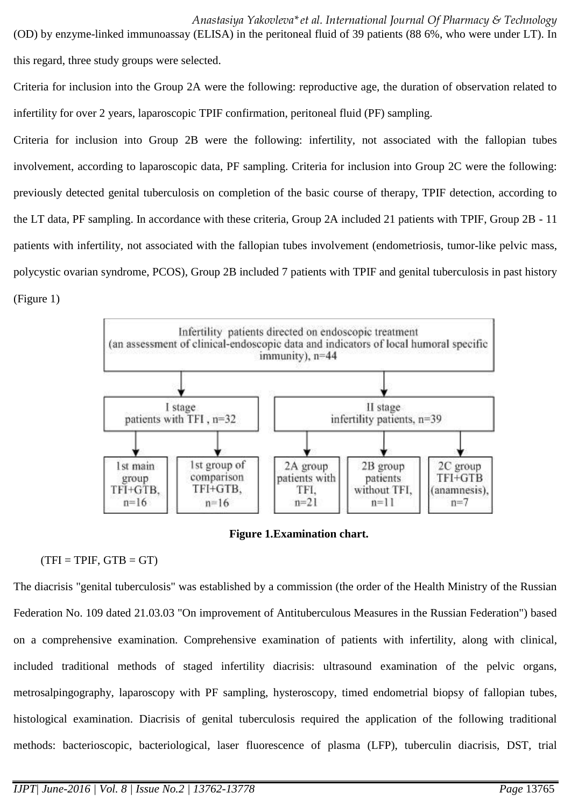(OD) by enzyme-linked immunoassay (ELISA) in the peritoneal fluid of 39 patients (88 6%, who were under LT). In this regard, three study groups were selected.

Criteria for inclusion into the Group 2A were the following: reproductive age, the duration of observation related to infertility for over 2 years, laparoscopic TPIF confirmation, peritoneal fluid (PF) sampling.

Criteria for inclusion into Group 2B were the following: infertility, not associated with the fallopian tubes involvement, according to laparoscopic data, PF sampling. Criteria for inclusion into Group 2C were the following: previously detected genital tuberculosis on completion of the basic course of therapy, TPIF detection, according to the LT data, PF sampling. In accordance with these criteria, Group 2A included 21 patients with TPIF, Group 2B - 11 patients with infertility, not associated with the fallopian tubes involvement (endometriosis, tumor-like pelvic mass, polycystic ovarian syndrome, PCOS), Group 2B included 7 patients with TPIF and genital tuberculosis in past history (Figure 1)



**Figure 1.Examination chart.**

# $(TFI = TPIF, GTB = GT)$

The diacrisis "genital tuberculosis" was established by a commission (the order of the Health Ministry of the Russian Federation No. 109 dated 21.03.03 "On improvement of Antituberculous Measures in the Russian Federation") based on a comprehensive examination. Comprehensive examination of patients with infertility, along with clinical, included traditional methods of staged infertility diacrisis: ultrasound examination of the pelvic organs, metrosalpingography, laparoscopy with PF sampling, hysteroscopy, timed endometrial biopsy of fallopian tubes, histological examination. Diacrisis of genital tuberculosis required the application of the following traditional methods: bacterioscopic, bacteriological, laser fluorescence of plasma (LFP), tuberculin diacrisis, DST, trial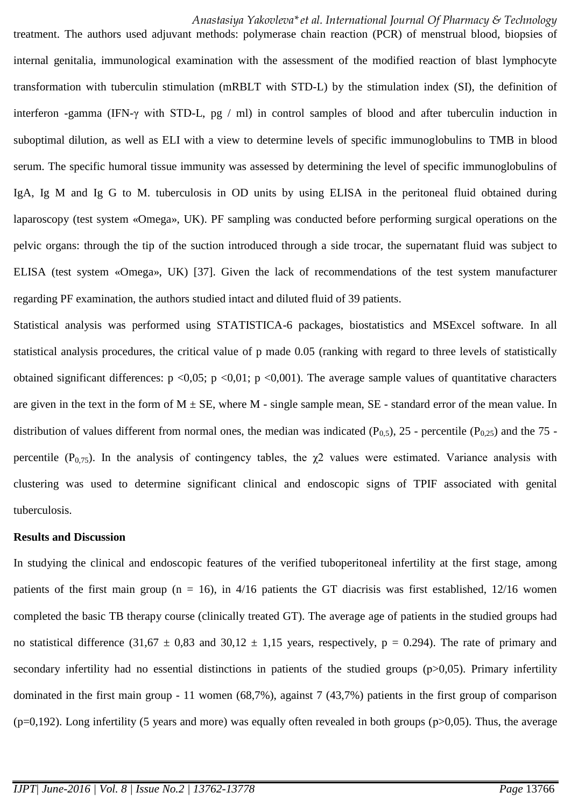treatment. The authors used adjuvant methods: polymerase chain reaction (PCR) of menstrual blood, biopsies of internal genitalia, immunological examination with the assessment of the modified reaction of blast lymphocyte transformation with tuberculin stimulation (mRBLT with STD-L) by the stimulation index (SI), the definition of interferon -gamma (IFN-γ with STD-L, pg / ml) in control samples of blood and after tuberculin induction in suboptimal dilution, as well as ELI with a view to determine levels of specific immunoglobulins to TMB in blood serum. The specific humoral tissue immunity was assessed by determining the level of specific immunoglobulins of IgA, Ig M and Ig G to M. tuberculosis in OD units by using ELISA in the peritoneal fluid obtained during laparoscopy (test system «Omega», UK). PF sampling was conducted before performing surgical operations on the pelvic organs: through the tip of the suction introduced through a side trocar, the supernatant fluid was subject to ELISA (test system «Omega», UK) [37]. Given the lack of recommendations of the test system manufacturer regarding PF examination, the authors studied intact and diluted fluid of 39 patients.

Statistical analysis was performed using STATISTICA-6 packages, biostatistics and MSExcel software. In all statistical analysis procedures, the critical value of p made 0.05 (ranking with regard to three levels of statistically obtained significant differences:  $p \le 0.05$ ;  $p \le 0.01$ ;  $p \le 0.001$ ). The average sample values of quantitative characters are given in the text in the form of  $M \pm SE$ , where M - single sample mean, SE - standard error of the mean value. In distribution of values different from normal ones, the median was indicated  $(P_{0.5})$ , 25 - percentile  $(P_{0.25})$  and the 75 percentile ( $P_{0.75}$ ). In the analysis of contingency tables, the  $\chi$ 2 values were estimated. Variance analysis with clustering was used to determine significant clinical and endoscopic signs of TPIF associated with genital tuberculosis.

#### **Results and Discussion**

In studying the clinical and endoscopic features of the verified tuboperitoneal infertility at the first stage, among patients of the first main group ( $n = 16$ ), in 4/16 patients the GT diacrisis was first established, 12/16 women completed the basic TB therapy course (clinically treated GT). The average age of patients in the studied groups had no statistical difference (31,67  $\pm$  0,83 and 30,12  $\pm$  1,15 years, respectively, p = 0.294). The rate of primary and secondary infertility had no essential distinctions in patients of the studied groups (p>0,05). Primary infertility dominated in the first main group - 11 women (68,7%), against 7 (43,7%) patients in the first group of comparison  $(p=0,192)$ . Long infertility (5 years and more) was equally often revealed in both groups ( $p>0,05$ ). Thus, the average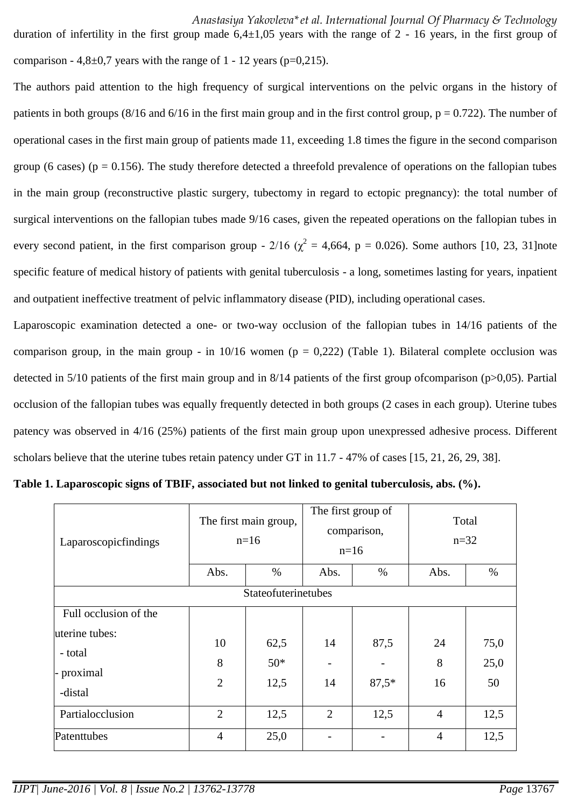duration of infertility in the first group made  $6,4\pm1,05$  years with the range of 2 - 16 years, in the first group of comparison -  $4,8\pm0.7$  years with the range of 1 - 12 years (p=0,215).

The authors paid attention to the high frequency of surgical interventions on the pelvic organs in the history of patients in both groups (8/16 and 6/16 in the first main group and in the first control group,  $p = 0.722$ ). The number of operational cases in the first main group of patients made 11, exceeding 1.8 times the figure in the second comparison group (6 cases) ( $p = 0.156$ ). The study therefore detected a threefold prevalence of operations on the fallopian tubes in the main group (reconstructive plastic surgery, tubectomy in regard to ectopic pregnancy): the total number of surgical interventions on the fallopian tubes made 9/16 cases, given the repeated operations on the fallopian tubes in every second patient, in the first comparison group - 2/16 ( $\chi^2$  = 4,664, p = 0.026). Some authors [10, 23, 31]note specific feature of medical history of patients with genital tuberculosis - a long, sometimes lasting for years, inpatient and outpatient ineffective treatment of pelvic inflammatory disease (PID), including operational cases.

Laparoscopic examination detected a one- or two-way occlusion of the fallopian tubes in 14/16 patients of the comparison group, in the main group - in  $10/16$  women (p = 0.222) (Table 1). Bilateral complete occlusion was detected in 5/10 patients of the first main group and in 8/14 patients of the first group ofcomparison (p>0,05). Partial occlusion of the fallopian tubes was equally frequently detected in both groups (2 cases in each group). Uterine tubes patency was observed in 4/16 (25%) patients of the first main group upon unexpressed adhesive process. Different scholars believe that the uterine tubes retain patency under GT in 11.7 - 47% of cases [15, 21, 26, 29, 38].

| Laparoscopicfindings  | The first main group,<br>$n=16$ |       | The first group of<br>comparison,<br>$n=16$ |         | Total<br>$n=32$ |      |  |
|-----------------------|---------------------------------|-------|---------------------------------------------|---------|-----------------|------|--|
|                       | Abs.                            | $\%$  | Abs.                                        | $\%$    | Abs.            | $\%$ |  |
| Stateofuterinetubes   |                                 |       |                                             |         |                 |      |  |
| Full occlusion of the |                                 |       |                                             |         |                 |      |  |
| uterine tubes:        | 10                              | 62,5  | 14                                          | 87,5    | 24              | 75,0 |  |
| - total               | 8                               | $50*$ |                                             |         | 8               | 25,0 |  |
| - proximal<br>-distal | $\overline{2}$                  | 12,5  | 14                                          | $87,5*$ | 16              | 50   |  |
| Partialocclusion      | $\overline{2}$                  | 12,5  | $\overline{2}$                              | 12,5    | $\overline{4}$  | 12,5 |  |
| Patenttubes           | $\overline{4}$                  | 25,0  |                                             |         | $\overline{4}$  | 12,5 |  |

|  |  | Table 1. Laparoscopic signs of TBIF, associated but not linked to genital tuberculosis, abs. (%). |  |
|--|--|---------------------------------------------------------------------------------------------------|--|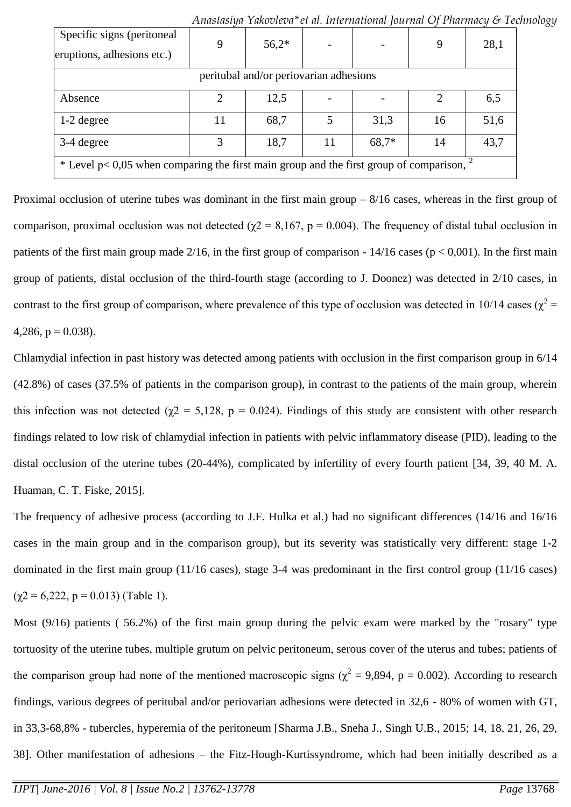| Specific signs (peritoneal<br>eruptions, adhesions etc.)                                   | 9  | $56,2*$ |    |       | 9  | 28,1 |
|--------------------------------------------------------------------------------------------|----|---------|----|-------|----|------|
| peritubal and/or periovarian adhesions                                                     |    |         |    |       |    |      |
| Absence                                                                                    | 2  | 12,5    |    |       |    | 6,5  |
| $1-2$ degree                                                                               | 11 | 68,7    |    | 31,3  | 16 | 51,6 |
| 3-4 degree                                                                                 | 3  | 18,7    | 11 | 68,7* | 14 | 43,7 |
| * Level p< 0,05 when comparing the first main group and the first group of comparison, $2$ |    |         |    |       |    |      |

Proximal occlusion of uterine tubes was dominant in the first main group – 8/16 cases, whereas in the first group of comparison, proximal occlusion was not detected ( $\chi$ 2 = 8,167, p = 0.004). The frequency of distal tubal occlusion in patients of the first main group made 2/16, in the first group of comparison -  $14/16$  cases ( $p < 0.001$ ). In the first main group of patients, distal occlusion of the third-fourth stage (according to J. Doonez) was detected in 2/10 cases, in contrast to the first group of comparison, where prevalence of this type of occlusion was detected in 10/14 cases ( $\chi^2$  = 4,286,  $p = 0.038$ ).

Chlamydial infection in past history was detected among patients with occlusion in the first comparison group in 6/14 (42.8%) of cases (37.5% of patients in the comparison group), in contrast to the patients of the main group, wherein this infection was not detected ( $\chi$ 2 = 5,128, p = 0.024). Findings of this study are consistent with other research findings related to low risk of chlamydial infection in patients with pelvic inflammatory disease (PID), leading to the distal occlusion of the uterine tubes (20-44%), complicated by infertility of every fourth patient [34, 39, 40 M. A. Huaman, C. T. Fiske, 2015].

The frequency of adhesive process (according to J.F. Hulka et al.) had no significant differences (14/16 and 16/16 cases in the main group and in the comparison group), but its severity was statistically very different: stage 1-2 dominated in the first main group (11/16 cases), stage 3-4 was predominant in the first control group (11/16 cases)  $(\chi2 = 6,222, p = 0.013)$  (Table 1).

Most (9/16) patients ( 56.2%) of the first main group during the pelvic exam were marked by the "rosary" type tortuosity of the uterine tubes, multiple grutum on pelvic peritoneum, serous cover of the uterus and tubes; patients of the comparison group had none of the mentioned macroscopic signs ( $\chi^2$  = 9,894, p = 0.002). According to research findings, various degrees of peritubal and/or periovarian adhesions were detected in 32,6 - 80% of women with GT, in 33,3-68,8% - tubercles, hyperemia of the peritoneum [Sharma J.B., Sneha J., Singh U.B., 2015; 14, 18, 21, 26, 29, 38]. Other manifestation of adhesions – the Fitz-Hough-Kurtissyndrome, which had been initially described as a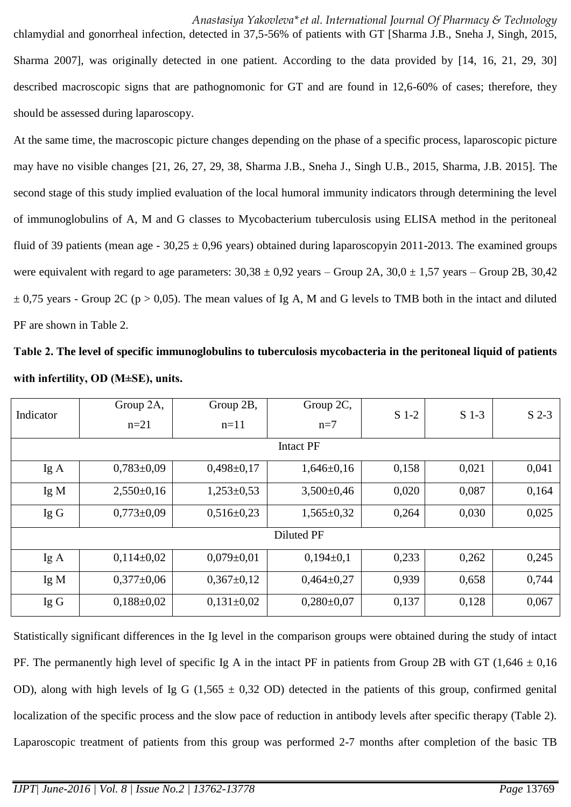chlamydial and gonorrheal infection, detected in 37,5-56% of patients with GT [Sharma J.B., Sneha J, Singh, 2015, Sharma 2007], was originally detected in one patient. According to the data provided by [14, 16, 21, 29, 30] described macroscopic signs that are pathognomonic for GT and are found in 12,6-60% of cases; therefore, they should be assessed during laparoscopy.

At the same time, the macroscopic picture changes depending on the phase of a specific process, laparoscopic picture may have no visible changes [21, 26, 27, 29, 38, Sharma J.B., Sneha J., Singh U.B., 2015, Sharma, J.B. 2015]. The second stage of this study implied evaluation of the local humoral immunity indicators through determining the level of immunoglobulins of A, M and G classes to Mycobacterium tuberculosis using ELISA method in the peritoneal fluid of 39 patients (mean age -  $30,25 \pm 0,96$  years) obtained during laparoscopyin 2011-2013. The examined groups were equivalent with regard to age parameters:  $30,38 \pm 0.92$  years – Group 2A,  $30,0 \pm 1.57$  years – Group 2B,  $30,42$  $\pm$  0,75 years - Group 2C (p > 0,05). The mean values of Ig A, M and G levels to TMB both in the intact and diluted PF are shown in Table 2.

**Таble 2. The level of specific immunoglobulins to tuberculosis mycobacteria in the peritoneal liquid of patients with infertility, ОD (M±SE), units.**

| Indicator | Group 2A,<br>$n=21$ | Group 2B,<br>$n=11$ | Group 2C,<br>$n=7$ | $S$ 1-2 | $S$ 1-3 | $S$ 2-3 |
|-----------|---------------------|---------------------|--------------------|---------|---------|---------|
|           |                     |                     | <b>Intact PF</b>   |         |         |         |
| IgA       | $0,783 \pm 0,09$    | $0,498 \pm 0,17$    | $1,646 \pm 0,16$   | 0,158   | 0,021   | 0,041   |
| Ig M      | $2,550\pm0,16$      | $1,253\pm0,53$      | $3,500 \pm 0,46$   | 0,020   | 0,087   | 0,164   |
| IgG       | $0,773\pm0,09$      | $0,516 \pm 0.23$    | $1,565 \pm 0,32$   | 0,264   | 0,030   | 0,025   |
|           |                     |                     | Diluted PF         |         |         |         |
| IgA       | $0,114\pm0,02$      | $0,079 \pm 0,01$    | $0,194\pm0,1$      | 0,233   | 0,262   | 0,245   |
| Ig M      | $0,377 \pm 0,06$    | $0,367 \pm 0,12$    | $0,464\pm0,27$     | 0,939   | 0,658   | 0,744   |
| IgG       | $0,188 \pm 0,02$    | $0,131\pm0,02$      | $0,280\pm0,07$     | 0,137   | 0,128   | 0,067   |

Statistically significant differences in the Ig level in the comparison groups were obtained during the study of intact PF. The permanently high level of specific Ig A in the intact PF in patients from Group 2B with GT (1,646  $\pm$  0,16 OD), along with high levels of Ig G (1,565  $\pm$  0,32 OD) detected in the patients of this group, confirmed genital localization of the specific process and the slow pace of reduction in antibody levels after specific therapy (Table 2). Laparoscopic treatment of patients from this group was performed 2-7 months after completion of the basic TB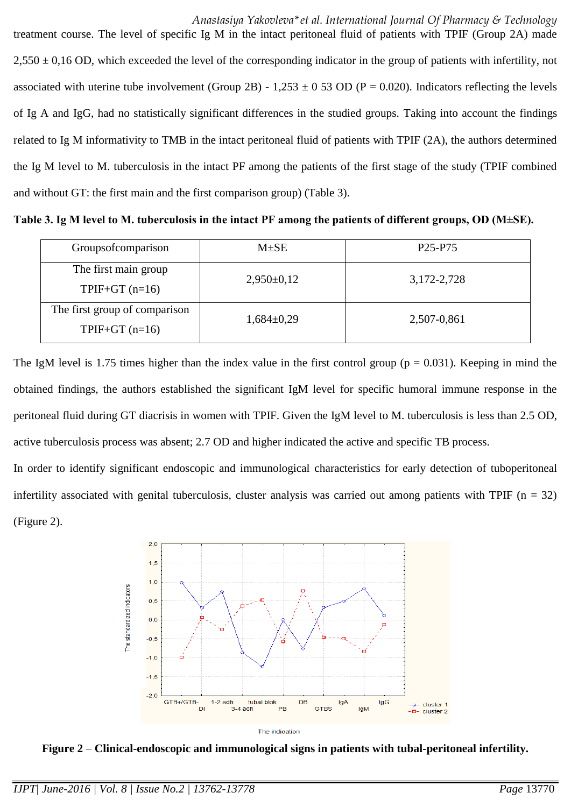*Anastasiya Yakovleva\*et al. International Journal Of Pharmacy & Technology*  treatment course. The level of specific Ig M in the intact peritoneal fluid of patients with TPIF (Group 2A) made  $2,550 \pm 0.16$  OD, which exceeded the level of the corresponding indicator in the group of patients with infertility, not associated with uterine tube involvement (Group 2B) - 1,253  $\pm$  0 53 OD (P = 0.020). Indicators reflecting the levels of Ig A and IgG, had no statistically significant differences in the studied groups. Taking into account the findings related to Ig M informativity to TMB in the intact peritoneal fluid of patients with TPIF (2A), the authors determined the Ig M level to M. tuberculosis in the intact PF among the patients of the first stage of the study (TPIF combined and without GT: the first main and the first comparison group) (Table 3).

**Тable 3. Ig М level to M. tuberculosis in the intact PF among the patients of different groups, OD (M±SE).**

| Groupsofcomparison                               | $M \pm SE$     | P <sub>25</sub> -P <sub>75</sub> |
|--------------------------------------------------|----------------|----------------------------------|
| The first main group<br>$TPIF+GT(n=16)$          | $2,950\pm0,12$ | 3, 172 - 2, 728                  |
| The first group of comparison<br>$TPIF+GT(n=16)$ | $1,684\pm0,29$ | 2,507-0,861                      |

The IgM level is 1.75 times higher than the index value in the first control group ( $p = 0.031$ ). Keeping in mind the obtained findings, the authors established the significant IgM level for specific humoral immune response in the peritoneal fluid during GT diacrisis in women with TPIF. Given the IgM level to M. tuberculosis is less than 2.5 OD, active tuberculosis process was absent; 2.7 OD and higher indicated the active and specific TB process.

In order to identify significant endoscopic and immunological characteristics for early detection of tuboperitoneal infertility associated with genital tuberculosis, cluster analysis was carried out among patients with TPIF  $(n = 32)$ (Figure 2).



**Figure 2** – **Clinical-endoscopic and immunological signs in patients with tubal-peritoneal infertility.**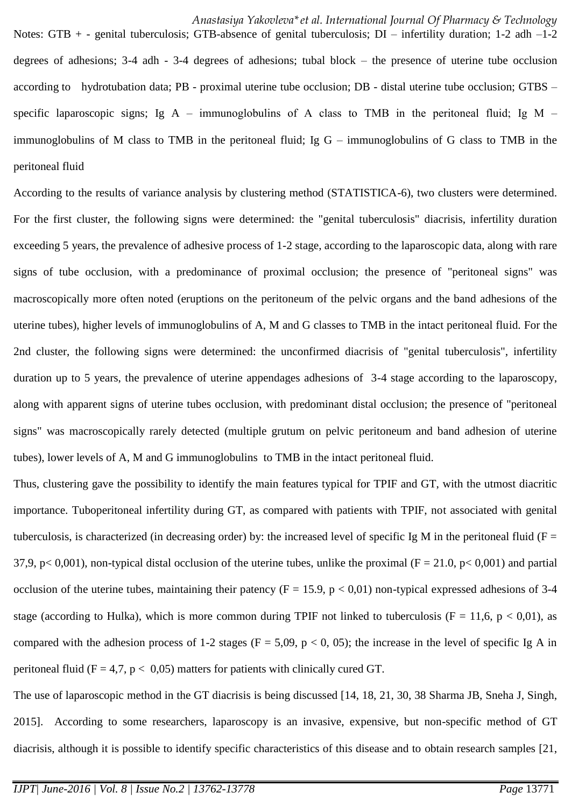Notes: GTB + - genital tuberculosis; GTB-absence of genital tuberculosis; DI – infertility duration; 1-2 adh –1-2 degrees of adhesions; 3-4 adh - 3-4 degrees of adhesions; tubal block – the presence of uterine tube occlusion according to hydrotubation data; PB - proximal uterine tube occlusion; DB - distal uterine tube occlusion; GTBS – specific laparoscopic signs; Ig A – immunoglobulins of A class to TMB in the peritoneal fluid; Ig M – immunoglobulins of M class to TMB in the peritoneal fluid; Ig G – immunoglobulins of G class to TMB in the peritoneal fluid

According to the results of variance analysis by clustering method (STATISTICA-6), two clusters were determined. For the first cluster, the following signs were determined: the "genital tuberculosis" diacrisis, infertility duration exceeding 5 years, the prevalence of adhesive process of 1-2 stage, according to the laparoscopic data, along with rare signs of tube occlusion, with a predominance of proximal occlusion; the presence of "peritoneal signs" was macroscopically more often noted (eruptions on the peritoneum of the pelvic organs and the band adhesions of the uterine tubes), higher levels of immunoglobulins of A, M and G classes to TMB in the intact peritoneal fluid. For the 2nd cluster, the following signs were determined: the unconfirmed diacrisis of "genital tuberculosis", infertility duration up to 5 years, the prevalence of uterine appendages adhesions of 3-4 stage according to the laparoscopy, along with apparent signs of uterine tubes occlusion, with predominant distal occlusion; the presence of "peritoneal signs" was macroscopically rarely detected (multiple grutum on pelvic peritoneum and band adhesion of uterine tubes), lower levels of A, M and G immunoglobulins to TMB in the intact peritoneal fluid.

Thus, clustering gave the possibility to identify the main features typical for TPIF and GT, with the utmost diacritic importance. Tuboperitoneal infertility during GT, as compared with patients with TPIF, not associated with genital tuberculosis, is characterized (in decreasing order) by: the increased level of specific Ig M in the peritoneal fluid ( $F =$ 37,9, p< 0,001), non-typical distal occlusion of the uterine tubes, unlike the proximal ( $F = 21.0$ , p< 0,001) and partial occlusion of the uterine tubes, maintaining their patency ( $F = 15.9$ ,  $p < 0.01$ ) non-typical expressed adhesions of 3-4 stage (according to Hulka), which is more common during TPIF not linked to tuberculosis (F = 11,6, p < 0,01), as compared with the adhesion process of 1-2 stages ( $F = 5,09$ ,  $p < 0, 05$ ); the increase in the level of specific Ig A in peritoneal fluid ( $F = 4.7$ ,  $p < 0.05$ ) matters for patients with clinically cured GT.

The use of laparoscopic method in the GT diacrisis is being discussed [14, 18, 21, 30, 38 Sharma JB, Sneha J, Singh, 2015]. According to some researchers, laparoscopy is an invasive, expensive, but non-specific method of GT diacrisis, although it is possible to identify specific characteristics of this disease and to obtain research samples [21,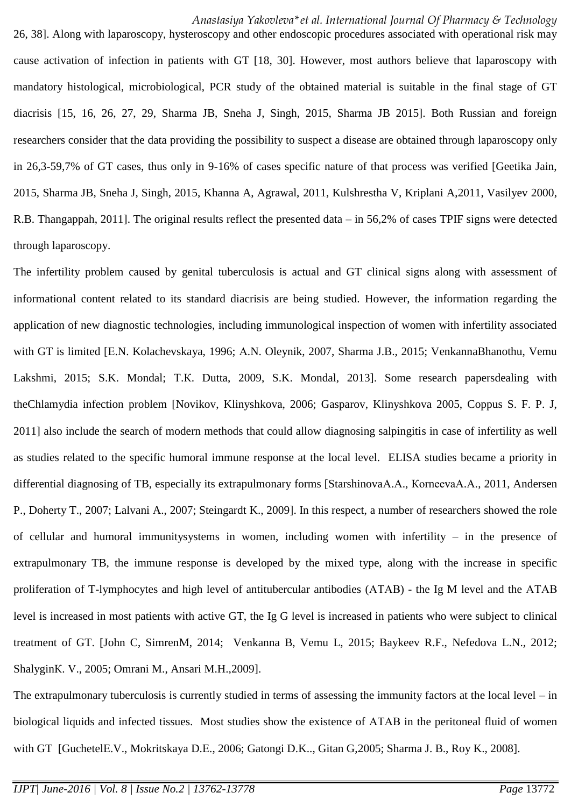26, 38]. Along with laparoscopy, hysteroscopy and other endoscopic procedures associated with operational risk may cause activation of infection in patients with GT [18, 30]. However, most authors believe that laparoscopy with mandatory histological, microbiological, PCR study of the obtained material is suitable in the final stage of GT diacrisis [15, 16, 26, 27, 29, Sharma JB, Sneha J, Singh, 2015, Sharma JB 2015]. Both Russian and foreign researchers consider that the data providing the possibility to suspect a disease are obtained through laparoscopy only in 26,3-59,7% of GT cases, thus only in 9-16% of cases specific nature of that process was verified [Geetika Jain, 2015, Sharma JB, Sneha J, Singh, 2015, Khanna A, Agrawal, 2011, Kulshrestha V, Kriplani A,2011, Vasilyev 2000, R.B. [Thangappah,](http://www.ncbi.nlm.nih.gov/pubmed?term=%22Thangappah%20RB%22%5BAuthor%5D) 2011]. The original results reflect the presented data – in 56,2% of cases TPIF signs were detected through laparoscopy.

The infertility problem caused by genital tuberculosis is actual and GT clinical signs along with assessment of informational content related to its standard diacrisis are being studied. However, the information regarding the application of new diagnostic technologies, including immunological inspection of women with infertility associated with GT is limited [E.N. Kolachevskaya, 1996; A.N. Oleynik, 2007, Sharma J.B., 2015; VenkannaBhanothu, Vemu Lakshmi, 2015; S.K. Mondal; Т.К. Dutta, 2009, S.K. Mondal, 2013]. Some research papersdealing with theChlamydia infection problem [Novikov, Klinyshkova, 2006; Gasparov, Klinyshkova 2005, Coppus S. F. P. J, 2011] also include the search of modern methods that could allow diagnosing salpingitis in case of infertility as well as studies related to the specific humoral immune response at the local level. ELISA studies became a priority in differential diagnosing of TB, especially its extrapulmonary forms [StarshinovaА.А., КоrnееvаА.А., 2011, Andersen P., Doherty T., 2007; Lalvani A., 2007; Steingardt K., 2009]. In this respect, a number of researchers showed the role of cellular and humoral immunitysystems in women, including women with infertility – in the presence of extrapulmonary TB, the immune response is developed by the mixed type, along with the increase in specific proliferation of T-lymphocytes and high level of antitubercular antibodies (АТАВ) - the Ig M level and the АТАВ level is increased in most patients with active GT, the Ig G level is increased in patients who were subject to clinical treatment of GT. [John C, SimrenМ, 2014; Venkanna B, Vemu L, 2015; Baykeev R.F., Nefedova L.N., 2012; ShalyginК. V., 2005; Omrani M., Ansari M.H.,2009].

The extrapulmonary tuberculosis is currently studied in terms of assessing the immunity factors at the local level – in biological liquids and infected tissues. Most studies show the existence of АТАВ in the peritoneal fluid of women with GT [GuchetelЕ.V., Mokritskaya D.Е., 2006; Gatongi D.K.., Gitan G,2005; Sharma J. B., Roy K., 2008].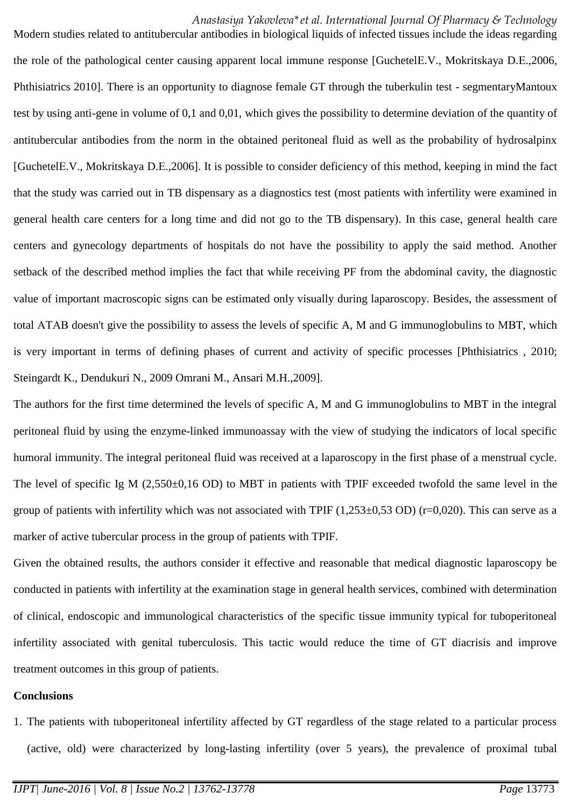### *Anastasiya Yakovleva\*et al. International Journal Of Pharmacy & Technology*

Modern studies related to antitubercular antibodies in biological liquids of infected tissues include the ideas regarding the role of the pathological center causing apparent local immune response [GuchetelЕ.V., Mokritskaya D.Е.,2006, Phthisiatrics 2010]. There is an opportunity to diagnose female GT through the tuberkulin test - segmentaryMantoux test by using anti-gene in volume of 0,1 and 0,01, which gives the possibility to determine deviation of the quantity of antitubercular antibodies from the norm in the obtained peritoneal fluid as well as the probability of hydrosalpinx [GuchetelЕ.V., Mokritskaya D.Е.,2006]. It is possible to consider deficiency of this method, keeping in mind the fact that the study was carried out in TB dispensary as a diagnostics test (most patients with infertility were examined in general health care centers for a long time and did not go to the TB dispensary). In this case, general health care centers and gynecology departments of hospitals do not have the possibility to apply the said method. Another setback of the described method implies the fact that while receiving PF from the abdominal cavity, the diagnostic value of important macroscopic signs can be estimated only visually during laparoscopy. Besides, the assessment of total АТАВ doesn't give the possibility to assess the levels of specific A, M and G immunoglobulins to МВT, which is very important in terms of defining phases of current and activity of specific processes [Phthisiatrics , 2010; Steingardt K., Dendukuri N., 2009 Omrani M., Ansari M.H.,2009].

The authors for the first time determined the levels of specific A, M and G immunoglobulins to MBT in the integral peritoneal fluid by using the enzyme-linked immunoassay with the view of studying the indicators of local specific humoral immunity. The integral peritoneal fluid was received at a laparoscopy in the first phase of a menstrual cycle. The level of specific Ig M (2,550±0,16 OD) to MBT in patients with TPIF exceeded twofold the same level in the group of patients with infertility which was not associated with TPIF  $(1,253\pm0,53$  OD) (r=0,020). This can serve as a marker of active tubercular process in the group of patients with TPIF.

Given the obtained results, the authors consider it effective and reasonable that medical diagnostic laparoscopy be conducted in patients with infertility at the examination stage in general health services, combined with determination of clinical, endoscopic and immunological characteristics of the specific tissue immunity typical for tuboperitoneal infertility associated with genital tuberculosis. This tactic would reduce the time of GT diacrisis and improve treatment outcomes in this group of patients.

#### **Conclusions**

1. The patients with tuboperitoneal infertility affected by GT regardless of the stage related to a particular process (active, old) were characterized by long-lasting infertility (over 5 years), the prevalence of proximal tubal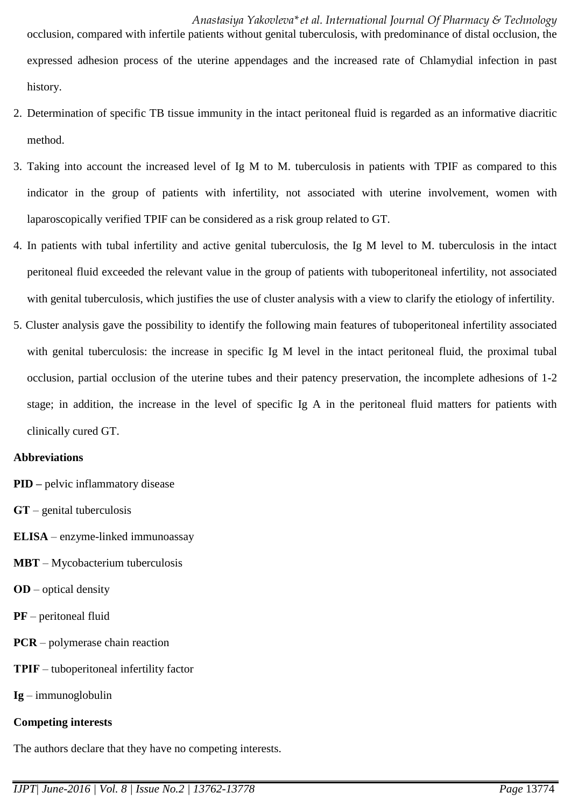*Anastasiya Yakovleva\*et al. International Journal Of Pharmacy & Technology*  occlusion, compared with infertile patients without genital tuberculosis, with predominance of distal occlusion, the expressed adhesion process of the uterine appendages and the increased rate of Chlamydial infection in past history.

- 2. Determination of specific TB tissue immunity in the intact peritoneal fluid is regarded as an informative diacritic method.
- 3. Taking into account the increased level of Ig M to M. tuberculosis in patients with TPIF as compared to this indicator in the group of patients with infertility, not associated with uterine involvement, women with laparoscopically verified TPIF can be considered as a risk group related to GT.
- 4. In patients with tubal infertility and active genital tuberculosis, the Ig M level to M. tuberculosis in the intact peritoneal fluid exceeded the relevant value in the group of patients with tuboperitoneal infertility, not associated with genital tuberculosis, which justifies the use of cluster analysis with a view to clarify the etiology of infertility.
- 5. Cluster analysis gave the possibility to identify the following main features of tuboperitoneal infertility associated with genital tuberculosis: the increase in specific Ig M level in the intact peritoneal fluid, the proximal tubal occlusion, partial occlusion of the uterine tubes and their patency preservation, the incomplete adhesions of 1-2 stage; in addition, the increase in the level of specific Ig A in the peritoneal fluid matters for patients with clinically cured GT.

### **Abbreviations**

- **PID –** pelvic inflammatory disease
- **GТ** genital tuberculosis
- **ELISA** enzyme-linked immunoassay
- **MBT**  Mycobacterium tuberculosis
- **ОD** optical density
- **PF** peritoneal fluid
- **PCR** polymerase chain reaction
- **ТPIF** tuboperitoneal infertility factor
- **Ig** immunoglobulin

### **Competing interests**

The authors declare that they have no competing interests.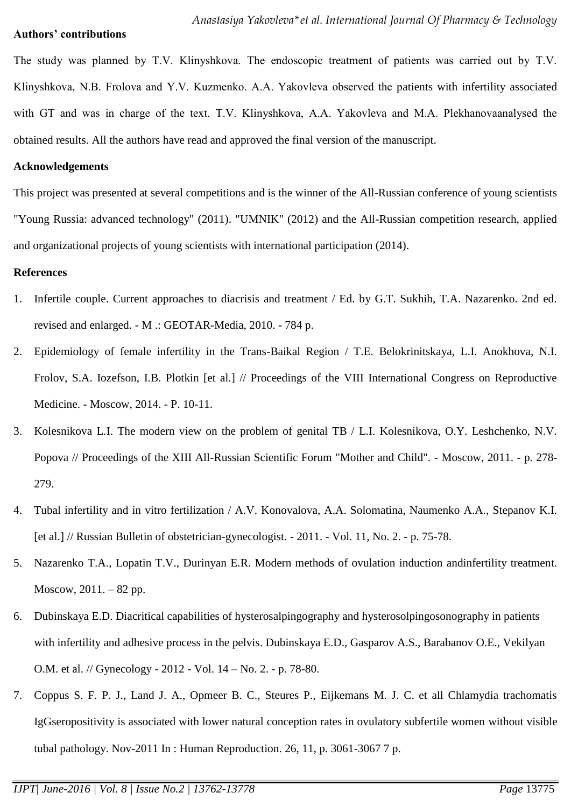### **Authors' contributions**

The study was planned by T.V. Klinyshkova. The endoscopic treatment of patients was carried out by T.V. Klinyshkova, N.B. Frolova and Y.V. Kuzmenko. A.A. Yakovleva observed the patients with infertility associated with GT and was in charge of the text. Т.V. Klinyshkova, А.А. Yakovleva and М.А. Plekhanovaanalysed the obtained results. All the authors have read and approved the final version of the manuscript.

### **Acknowledgements**

This project was presented at several competitions and is the winner of the All-Russian conference of young scientists "Young Russia: advanced technology" (2011). "UMNIK" (2012) and the All-Russian competition research, applied and organizational projects of young scientists with international participation (2014).

### **References**

- 1. Infertile couple. Current approaches to diacrisis and treatment / Ed. by G.T. Sukhih, T.A. Nazarenko. 2nd ed. revised and enlarged. - M .: GEOTAR-Media, 2010. - 784 p.
- 2. Epidemiology of female infertility in the Trans-Baikal Region / T.E. Belokrinitskaya, L.I. Anokhova, N.I. Frolov, S.A. Iozefson, I.B. Plotkin [et al.] // Proceedings of the VIII International Congress on Reproductive Medicine. - Moscow, 2014. - P. 10-11.
- 3. Kolesnikova L.I. The modern view on the problem of genital TB / L.I. Kolesnikova, O.Y. Leshchenko, N.V. Popova // Proceedings of the XIII All-Russian Scientific Forum "Mother and Child". - Moscow, 2011. - p. 278- 279.
- 4. Tubal infertility and in vitro fertilization / A.V. Konovalova, A.A. Solomatina, Naumenko A.A., Stepanov K.I. [et al.] // Russian Bulletin of obstetrician-gynecologist. - 2011. - Vol. 11, No. 2. - p. 75-78.
- 5. Nazarenko T.A., Lopatin T.V., Durinyan E.R. Modern methods of ovulation induction andinfertility treatment. Moscow, 2011. – 82 pp.
- 6. Dubinskaya E.D. Diacritical capabilities of hysterosalpingography and hysterosolpingosonography in patients with infertility and adhesive process in the pelvis. Dubinskaya E.D., Gasparov A.S., Barabanov O.E., Vekilyan O.M. et al. // Gynecology - 2012 - Vol. 14 – No. 2. - p. 78-80.
- 7. Coppus S. F. P. J., Land J. A., Opmeer B. C., Steures P., Eijkemans M. J. C. et all Chlamydia trachomatis IgGseropositivity is associated with lower natural conception rates in ovulatory subfertile women without visible tubal pathology. Nov-2011 In : Human Reproduction. 26, 11, p. 3061-3067 7 p.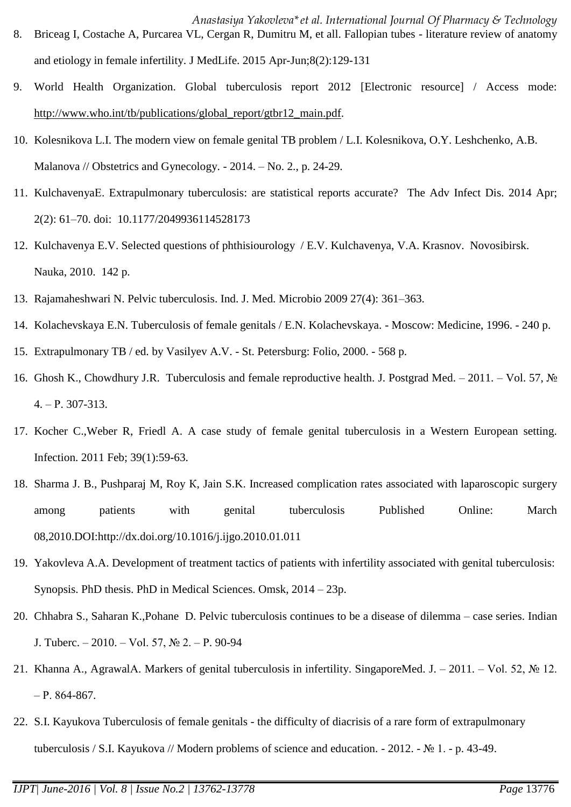- *Anastasiya Yakovleva\*et al. International Journal Of Pharmacy & Technology*  8. Briceag I, Costache A, Purcarea VL, Cergan R, Dumitru M, et all. Fallopian tubes - literature review of anatomy and etiology in female infertility. J MedLife. 2015 Apr-Jun;8(2):129-131
- 9. World Health Organization. Global tuberculosis report 2012 [Electronic resource] / Access mode: [http://www.who.int/tb/publications/global\\_report/gtbr12\\_main.pdf.](http://www.who.int/tb/publications/global_report/gtbr12_main.pdf)
- 10. Kolesnikova L.I. The modern view on female genital TB problem / L.I. Kolesnikova, O.Y. Leshchenko, A.B. Malanova // Obstetrics and Gynecology. - 2014. – No. 2., p. 24-29.
- 11. KulchavenyaЕ. Extrapulmonary tuberculosis: are statistical reports accurate? The Adv Infect Dis. 2014 Apr; 2(2): 61–70. doi: 10.1177/2049936114528173
- 12. Kulchavenya E.V. Selected questions of phthisiourology / E.V. Kulchavenya, V.A. Krasnov. Novosibirsk. Nauka, 2010. 142 p.
- 13. Rajamaheshwari N. Pelvic tuberculosis. Ind. J. Med. Microbio 2009 27(4): 361–363.
- 14. Kolachevskaya E.N. Tuberculosis of female genitals / E.N. Kolachevskaya. Moscow: Medicine, 1996. 240 p.
- 15. Extrapulmonary TB / ed. by Vasilyev A.V. St. Petersburg: Folio, 2000. 568 p.
- 16. [Ghosh K.](http://www.ncbi.nlm.nih.gov/pubmed?term=%22Ghosh%20K%22%5BAuthor%5D), [Chowdhury](http://www.ncbi.nlm.nih.gov/pubmed?term=%22Chowdhury%20JR%22%5BAuthor%5D) J.R. Tuberculosis and female reproductive health. [J. Postgrad Med.](http://www.ncbi.nlm.nih.gov/pubmed/22120860) 2011. Vol. 57, № 4. – Р. 307-313.
- 17. [Kocher C.](http://www.ncbi.nlm.nih.gov/pubmed?term=%22Kocher%20C%22%5BAuthor%5D)[,Weber R,](http://www.ncbi.nlm.nih.gov/pubmed?term=%22Weber%20R%22%5BAuthor%5D) [Friedl A.](http://www.ncbi.nlm.nih.gov/pubmed?term=%22Friedl%20A%22%5BAuthor%5D) A case study of female genital tuberculosis in a Western European setting. [Infection.](http://www.ncbi.nlm.nih.gov/pubmed/21153428) 2011 Feb; 39(1):59-63.
- 18. Sharma J. B., Pushparaj M, Roy К, Jain S.K. Increased complication rates associated with laparoscopic surgery among patients with genital tuberculosis Published Online: March 08,2010.DOI:http://dx.doi.org/10.1016/j.ijgo.2010.01.011
- 19. Yakovleva A.A. Development of treatment tactics of patients with infertility associated with genital tuberculosis: Synopsis. PhD thesis. PhD in Medical Sciences. Omsk, 2014 – 23p.
- 20. Chhabra S., Saharan К.,Pohane D. Pelvic tuberculosis continues to be a disease of dilemma case series. Indian J. Tuberc. – 2010. – Vol. 57, № 2. – Р. 90-94
- 21. Khanna A., AgrawalА. Markers of genital tuberculosis in infertility. SingaporeMed. J. 2011. Vol. 52, № 12. – Р. 864-867.
- 22. S.I. Kayukova Tuberculosis of female genitals the difficulty of diacrisis of a rare form of extrapulmonary tuberculosis / S.I. Kayukova // Modern problems of science and education. - 2012. - № 1. - p. 43-49.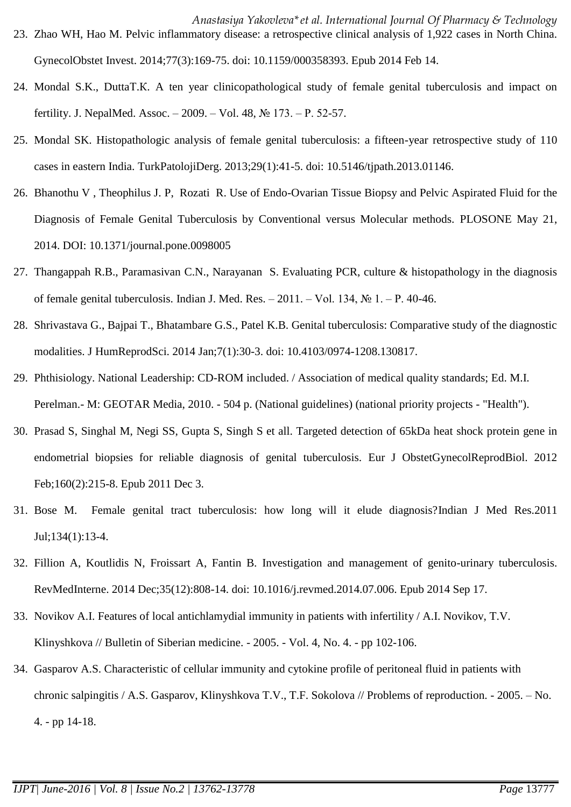- 24. Mondal S.K., DuttaТ.К. A ten year clinicopathological study of female genital tuberculosis and impact on fertility. J. NepalMed. Assoc. – 2009. – Vol. 48, № 173. – Р. 52-57.
- 25. Mondal SK. Histopathologic analysis of female genital tuberculosis: a fifteen-year retrospective study of 110 cases in eastern India. TurkPatolojiDerg. 2013;29(1):41-5. doi: 10.5146/tjpath.2013.01146.
- 26. Bhanothu V , Theophilus J. P, Rozati R. Use of Endo-Ovarian Tissue Biopsy and Pelvic Aspirated Fluid for the Diagnosis of Female Genital Tuberculosis by Conventional versus Molecular methods. PLOSONE May 21, 2014. DOI: 10.1371/journal.pone.0098005
- 27. [Thangappah R.B.](http://www.ncbi.nlm.nih.gov/pubmed?term=%22Thangappah%20RB%22%5BAuthor%5D), [Paramasivan](http://www.ncbi.nlm.nih.gov/pubmed?term=%22Paramasivan%20CN%22%5BAuthor%5D) C.N., [Narayanan](http://www.ncbi.nlm.nih.gov/pubmed?term=%22Narayanan%20S%22%5BAuthor%5D) S. Evaluating PCR, culture & histopathology in the diagnosis of female genital tuberculosis. [Indian J. Med. Res.](http://www.ncbi.nlm.nih.gov/pubmed/21808133) – 2011. – Vol. 134,  $\mathbb{N}^{\circ}$  1. – P. 40-46.
- 28. Shrivastava G., Bajpai T., Bhatambare G.S., Patel K.B. Genital tuberculosis: Comparative study of the diagnostic modalities. J HumReprodSci. 2014 Jan;7(1):30-3. doi: 10.4103/0974-1208.130817.
- 29. Phthisiology. National Leadership: CD-ROM included. / Association of medical quality standards; Ed. M.I. Perelman.- M: GEOTAR Media, 2010. - 504 p. (National guidelines) (national priority projects - "Health").
- 30. [Prasad S,](http://www.ncbi.nlm.nih.gov/pubmed?term=%22Prasad%20S%22%5BAuthor%5D) [Singhal M,](http://www.ncbi.nlm.nih.gov/pubmed?term=%22Singhal%20M%22%5BAuthor%5D) [Negi SS,](http://www.ncbi.nlm.nih.gov/pubmed?term=%22Negi%20SS%22%5BAuthor%5D) [Gupta S,](http://www.ncbi.nlm.nih.gov/pubmed?term=%22Gupta%20S%22%5BAuthor%5D) [Singh S](http://www.ncbi.nlm.nih.gov/pubmed?term=%22Singh%20S%22%5BAuthor%5D) et all. Targeted detection of 65kDa heat shock protein gene in endometrial biopsies for reliable diagnosis of genital tuberculosis. [Eur J ObstetGynecolReprodBiol.](http://www.ncbi.nlm.nih.gov/pubmed/22142816) 2012 Feb;160(2):215-8. Epub 2011 Dec 3.
- 31. [Bose M.](http://www.ncbi.nlm.nih.gov/pubmed?term=%22Bose%20M%22%5BAuthor%5D) Female genital tract tuberculosis: how long will it elude diagnosis[?Indian J Med Res.2](http://www.ncbi.nlm.nih.gov/pubmed/21808128)011 Jul;134(1):13-4.
- 32. Fillion A, Koutlidis N, Froissart A, Fantin B. Investigation and management of genito-urinary tuberculosis. RevMedInterne. 2014 Dec;35(12):808-14. doi: 10.1016/j.revmed.2014.07.006. Epub 2014 Sep 17.
- 33. Novikov A.I. Features of local antichlamydial immunity in patients with infertility / A.I. Novikov, T.V. Klinyshkova // Bulletin of Siberian medicine. - 2005. - Vol. 4, No. 4. - pp 102-106.
- 34. Gasparov A.S. Characteristic of cellular immunity and cytokine profile of peritoneal fluid in patients with chronic salpingitis / A.S. Gasparov, Klinyshkova T.V., T.F. Sokolova // Problems of reproduction. - 2005. – No. 4. - pp 14-18.